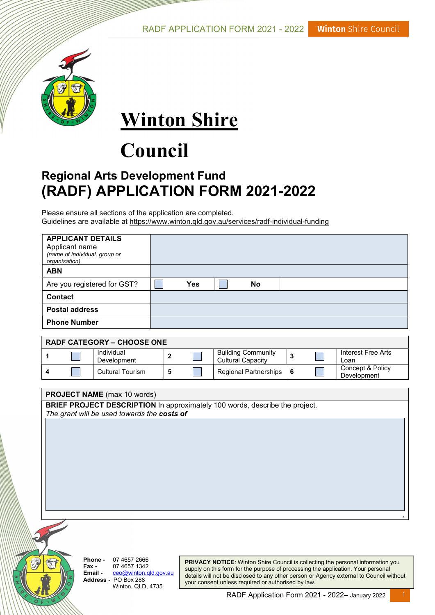

# **Winton Shire**

# Council

## Regional Arts Development Fund (RADF) APPLICATION FORM 2021-2022

Please ensure all sections of the application are completed. Guidelines are available at https://www.winton.qld.gov.au/services/radf-individual-funding

| <b>APPLICANT DETAILS</b><br>Applicant name<br>(name of individual, group or<br>organisation) |            |           |  |
|----------------------------------------------------------------------------------------------|------------|-----------|--|
| <b>ABN</b>                                                                                   |            |           |  |
| Are you registered for GST?                                                                  | <b>Yes</b> | <b>No</b> |  |
| <b>Contact</b>                                                                               |            |           |  |
| <b>Postal address</b>                                                                        |            |           |  |
| <b>Phone Number</b>                                                                          |            |           |  |

| <b>RADF CATEGORY – CHOOSE ONE</b> |                           |  |  |                                                       |  |  |                                 |
|-----------------------------------|---------------------------|--|--|-------------------------------------------------------|--|--|---------------------------------|
|                                   | Individual<br>Development |  |  | <b>Building Community</b><br><b>Cultural Capacity</b> |  |  | Interest Free Arts<br>Loan      |
|                                   | Cultural Tourism          |  |  | Regional Partnerships   6                             |  |  | Concept & Policy<br>Development |

| <b>PROJECT NAME</b> (max 10 words)                                                 |
|------------------------------------------------------------------------------------|
| <b>BRIEF PROJECT DESCRIPTION In approximately 100 words, describe the project.</b> |
| The grant will be used towards the costs of                                        |
|                                                                                    |
|                                                                                    |
|                                                                                    |
|                                                                                    |
|                                                                                    |
|                                                                                    |
|                                                                                    |
|                                                                                    |
|                                                                                    |
|                                                                                    |
|                                                                                    |



**Phone - 07 4657 2666<br>Fax - 07 4657 1342** Fax - 07 4657 1342<br>Email - ceo@winton a ceo@winton.gld.gov.au Address - PO Box 288 Winton, QLD, 4735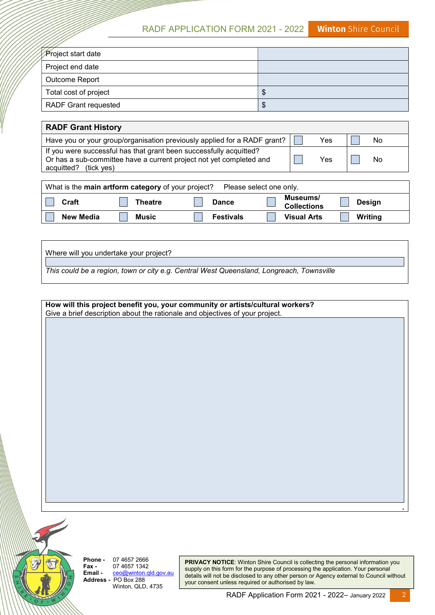#### **Winton** Shire Council RADF APPLICATION FORM 2021 - 2022

| Project start date          |   |
|-----------------------------|---|
| Project end date            |   |
| Outcome Report              |   |
| Total cost of project       | D |
| <b>RADF Grant requested</b> | w |

| <b>RADF Grant History</b>                                                                                                                                             |     |    |
|-----------------------------------------------------------------------------------------------------------------------------------------------------------------------|-----|----|
| Have you or your group/organisation previously applied for a RADF grant?                                                                                              | Yes | No |
| If you were successful has that grant been successfully acquitted?<br>Or has a sub-committee have a current project not yet completed and<br>acquitted?<br>(tick ves) | Yes | No |

|                  | What is the main artform category of your project? |                  | Please select one only.        |               |
|------------------|----------------------------------------------------|------------------|--------------------------------|---------------|
| Craft            | <b>Theatre</b>                                     | <b>Dance</b>     | Museums/<br><b>Collections</b> | <b>Design</b> |
| <b>New Media</b> | <b>Music</b>                                       | <b>Festivals</b> | <b>Visual Arts</b>             | Writing       |

Where will you undertake your project?

This could be a region, town or city e.g. Central West Queensland, Longreach, Townsville

How will this project benefit you, your community or artists/cultural workers? Give a brief description about the rationale and objectives of your project.



**Phone - 07 4657 2666<br>Fax - 07 4657 1342 Fax - 07 4657 1342<br>Email - ceo@winton.g** ceo@winton.qld.gov.au Address - PO Box 288 Winton, QLD, 4735

PRIVACY NOTICE: Winton Shire Council is collecting the personal information you supply on this form for the purpose of processing the application. Your personal details will not be disclosed to any other person or Agency external to Council without your consent unless required or authorised by law.

.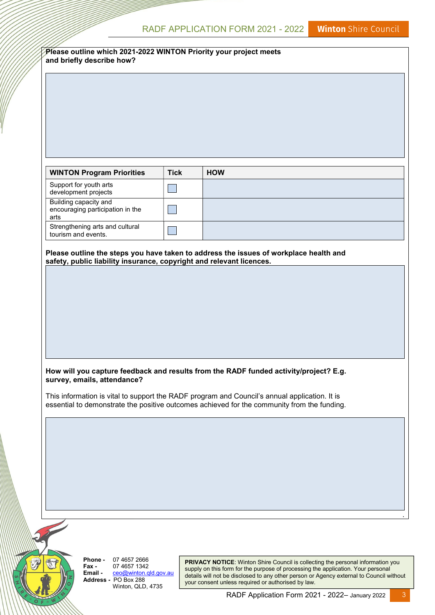| and briefly describe how?                                 |                                               |             | Please outline which 2021-2022 WINTON Priority your project meets                                                                                                   |
|-----------------------------------------------------------|-----------------------------------------------|-------------|---------------------------------------------------------------------------------------------------------------------------------------------------------------------|
|                                                           |                                               |             |                                                                                                                                                                     |
|                                                           |                                               |             |                                                                                                                                                                     |
|                                                           |                                               |             |                                                                                                                                                                     |
|                                                           |                                               |             |                                                                                                                                                                     |
|                                                           |                                               |             |                                                                                                                                                                     |
|                                                           |                                               |             |                                                                                                                                                                     |
|                                                           |                                               |             |                                                                                                                                                                     |
|                                                           |                                               |             |                                                                                                                                                                     |
|                                                           | <b>WINTON Program Priorities</b>              | <b>Tick</b> | <b>HOW</b>                                                                                                                                                          |
| Support for youth arts                                    |                                               |             |                                                                                                                                                                     |
| development projects                                      |                                               |             |                                                                                                                                                                     |
| Building capacity and<br>encouraging participation in the |                                               |             |                                                                                                                                                                     |
| arts                                                      |                                               |             |                                                                                                                                                                     |
| Strengthening arts and cultural<br>tourism and events.    |                                               |             |                                                                                                                                                                     |
|                                                           |                                               |             |                                                                                                                                                                     |
|                                                           |                                               |             | Please outline the steps you have taken to address the issues of workplace health and                                                                               |
|                                                           |                                               |             | safety, public liability insurance, copyright and relevant licences.                                                                                                |
|                                                           |                                               |             |                                                                                                                                                                     |
|                                                           |                                               |             |                                                                                                                                                                     |
|                                                           |                                               |             |                                                                                                                                                                     |
|                                                           |                                               |             |                                                                                                                                                                     |
|                                                           |                                               |             |                                                                                                                                                                     |
|                                                           |                                               |             |                                                                                                                                                                     |
|                                                           |                                               |             |                                                                                                                                                                     |
|                                                           |                                               |             |                                                                                                                                                                     |
|                                                           |                                               |             | How will you capture feedback and results from the RADF funded activity/project? E.g.                                                                               |
| survey, emails, attendance?                               |                                               |             |                                                                                                                                                                     |
|                                                           |                                               |             | This information is vital to support the RADF program and Council's annual application. It is                                                                       |
|                                                           |                                               |             | essential to demonstrate the positive outcomes achieved for the community from the funding.                                                                         |
|                                                           |                                               |             |                                                                                                                                                                     |
|                                                           |                                               |             |                                                                                                                                                                     |
|                                                           |                                               |             |                                                                                                                                                                     |
|                                                           |                                               |             |                                                                                                                                                                     |
|                                                           |                                               |             |                                                                                                                                                                     |
|                                                           |                                               |             |                                                                                                                                                                     |
|                                                           |                                               |             |                                                                                                                                                                     |
|                                                           |                                               |             |                                                                                                                                                                     |
|                                                           |                                               |             |                                                                                                                                                                     |
|                                                           |                                               |             |                                                                                                                                                                     |
|                                                           |                                               |             |                                                                                                                                                                     |
|                                                           |                                               |             |                                                                                                                                                                     |
|                                                           |                                               |             |                                                                                                                                                                     |
| Phone -<br>Fax -                                          | 07 4657 2666<br>07 4657 1342                  |             | PRIVACY NOTICE: Winton Shire Council is collecting the personal information you<br>supply on this form for the purpose of processing the application. Your personal |
| Email -                                                   | ceo@winton.qld.gov.au<br>Address - PO Box 288 |             | details will not be disclosed to any other person or Agency external to Council without                                                                             |
|                                                           | Winton, QLD, 4735                             |             | your consent unless required or authorised by law.<br>DADE Application Form 2024 2022                                                                               |
|                                                           |                                               |             |                                                                                                                                                                     |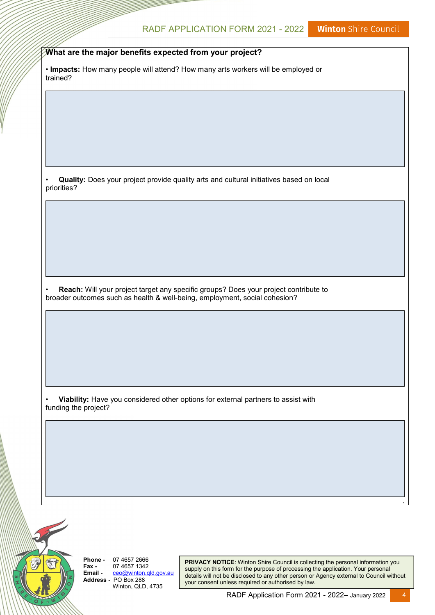#### **Winton** Shire Council RADF APPLICATION FORM 2021 - 2022

What are the major benefits expected from your project?

• Impacts: How many people will attend? How many arts workers will be employed or trained?

Quality: Does your project provide quality arts and cultural initiatives based on local priorities?

Reach: Will your project target any specific groups? Does your project contribute to broader outcomes such as health & well-being, employment, social cohesion?

• Viability: Have you considered other options for external partners to assist with funding the project?



Phone - 07 4657 2666 Fax - 07 4657 1342<br>Email - ceo@winton.g ceo@winton.qld.gov.au Address - PO Box 288 Winton, QLD, 4735

PRIVACY NOTICE: Winton Shire Council is collecting the personal information you supply on this form for the purpose of processing the application. Your personal details will not be disclosed to any other person or Agency external to Council without your consent unless required or authorised by law.

.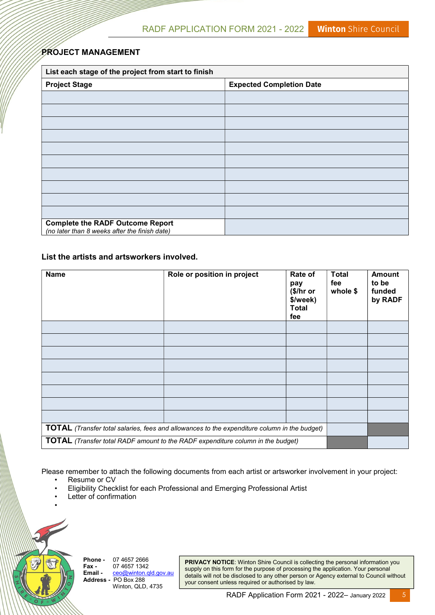## PROJECT MANAGEMENT

| List each stage of the project from start to finish                                      |                                 |  |  |  |
|------------------------------------------------------------------------------------------|---------------------------------|--|--|--|
| <b>Project Stage</b>                                                                     | <b>Expected Completion Date</b> |  |  |  |
|                                                                                          |                                 |  |  |  |
|                                                                                          |                                 |  |  |  |
|                                                                                          |                                 |  |  |  |
|                                                                                          |                                 |  |  |  |
|                                                                                          |                                 |  |  |  |
|                                                                                          |                                 |  |  |  |
|                                                                                          |                                 |  |  |  |
|                                                                                          |                                 |  |  |  |
|                                                                                          |                                 |  |  |  |
|                                                                                          |                                 |  |  |  |
| <b>Complete the RADF Outcome Report</b><br>(no later than 8 weeks after the finish date) |                                 |  |  |  |

#### List the artists and artsworkers involved.

| <b>Name</b> | Role or position in project                                                                         | Rate of<br>pay<br>(\$/hr or<br>\$/week)<br><b>Total</b><br>fee | <b>Total</b><br>fee<br>whole \$ | <b>Amount</b><br>to be<br>funded<br>by RADF |  |
|-------------|-----------------------------------------------------------------------------------------------------|----------------------------------------------------------------|---------------------------------|---------------------------------------------|--|
|             |                                                                                                     |                                                                |                                 |                                             |  |
|             |                                                                                                     |                                                                |                                 |                                             |  |
|             |                                                                                                     |                                                                |                                 |                                             |  |
|             |                                                                                                     |                                                                |                                 |                                             |  |
|             |                                                                                                     |                                                                |                                 |                                             |  |
|             |                                                                                                     |                                                                |                                 |                                             |  |
|             |                                                                                                     |                                                                |                                 |                                             |  |
|             |                                                                                                     |                                                                |                                 |                                             |  |
|             | <b>TOTAL</b> (Transfer total salaries, fees and allowances to the expenditure column in the budget) |                                                                |                                 |                                             |  |
|             | <b>TOTAL</b> (Transfer total RADF amount to the RADF expenditure column in the budget)              |                                                                |                                 |                                             |  |

Please remember to attach the following documents from each artist or artsworker involvement in your project:

- Resume or CV
- Eligibility Checklist for each Professional and Emerging Professional Artist
- Letter of confirmation



•

**Phone - 07 4657 2666<br>Fax - 07 4657 1342 Fax - 07 4657 1342<br>Email - ceo@winton.g** ceo@winton.qld.gov.au Address - PO Box 288 Winton, QLD, 4735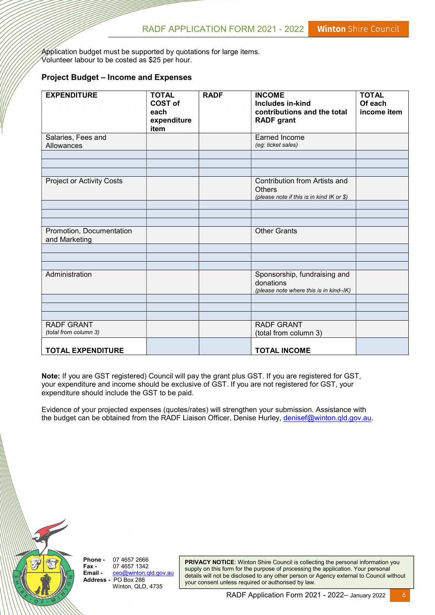Application budget must be supported by quotations for large items. Volunteer labour to be costed as \$25 per hour.

#### Project Budget – Income and Expenses

| <b>EXPENDITURE</b>                         | <b>TOTAL</b><br>COST of<br>each<br>expenditure<br>item | <b>RADF</b> | <b>INCOME</b><br>Includes in-kind<br>contributions and the total<br><b>RADF</b> grant       | <b>TOTAL</b><br>Of each<br>income item |
|--------------------------------------------|--------------------------------------------------------|-------------|---------------------------------------------------------------------------------------------|----------------------------------------|
| Salaries, Fees and<br>Allowances           |                                                        |             | <b>Earned Income</b><br>(eg: ticket sales)                                                  |                                        |
|                                            |                                                        |             |                                                                                             |                                        |
| <b>Project or Activity Costs</b>           |                                                        |             | Contribution from Artists and<br><b>Others</b><br>(please note if this is in kind IK or \$) |                                        |
|                                            |                                                        |             |                                                                                             |                                        |
|                                            |                                                        |             |                                                                                             |                                        |
| Promotion, Documentation<br>and Marketing  |                                                        |             | <b>Other Grants</b>                                                                         |                                        |
|                                            |                                                        |             |                                                                                             |                                        |
|                                            |                                                        |             |                                                                                             |                                        |
| Administration                             |                                                        |             | Sponsorship, fundraising and<br>donations<br>(please note where this is in kind-IK)         |                                        |
|                                            |                                                        |             |                                                                                             |                                        |
|                                            |                                                        |             |                                                                                             |                                        |
| <b>RADF GRANT</b><br>(total from column 3) |                                                        |             | <b>RADF GRANT</b><br>(total from column 3)                                                  |                                        |
| <b>TOTAL EXPENDITURE</b>                   |                                                        |             | <b>TOTAL INCOME</b>                                                                         |                                        |

Note: If you are GST registered) Council will pay the grant plus GST. If you are registered for GST, your expenditure and income should be exclusive of GST. If you are not registered for GST, your expenditure should include the GST to be paid.

Evidence of your projected expenses (quotes/rates) will strengthen your submission. Assistance with the budget can be obtained from the RADF Liaison Officer, Denise Hurley, denisef@winton.qld.gov.au.



Phone - 07 4657 2666 Fax - 07 4657 1342<br>Email - ceo@winton a ceo@winton.qld.gov.au Address - PO Box 288 Winton, QLD, 4735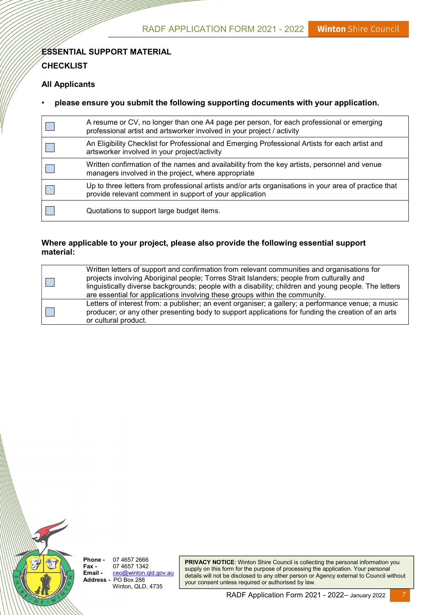## ESSENTIAL SUPPORT MATERIAL **CHECKLIST**

### All Applicants

#### • please ensure you submit the following supporting documents with your application.

| A resume or CV, no longer than one A4 page per person, for each professional or emerging<br>professional artist and artsworker involved in your project / activity |
|--------------------------------------------------------------------------------------------------------------------------------------------------------------------|
| An Eligibility Checklist for Professional and Emerging Professional Artists for each artist and<br>artsworker involved in your project/activity                    |
| Written confirmation of the names and availability from the key artists, personnel and venue<br>managers involved in the project, where appropriate                |
| Up to three letters from professional artists and/or arts organisations in your area of practice that<br>provide relevant comment in support of your application   |
| Quotations to support large budget items.                                                                                                                          |

#### Where applicable to your project, please also provide the following essential support material:

| Written letters of support and confirmation from relevant communities and organisations for<br>projects involving Aboriginal people; Torres Strait Islanders; people from culturally and<br>linguistically diverse backgrounds; people with a disability; children and young people. The letters<br>are essential for applications involving these groups within the community. |
|---------------------------------------------------------------------------------------------------------------------------------------------------------------------------------------------------------------------------------------------------------------------------------------------------------------------------------------------------------------------------------|
| Letters of interest from: a publisher; an event organiser; a gallery; a performance venue; a music<br>producer; or any other presenting body to support applications for funding the creation of an arts<br>or cultural product.                                                                                                                                                |



**Phone - 07 4657 2666<br>Fax - 07 4657 1342** Fax - 07 4657 1342<br>Email - ceo@winton.g ceo@winton.qld.gov.au Address - PO Box 288 Winton, QLD, 4735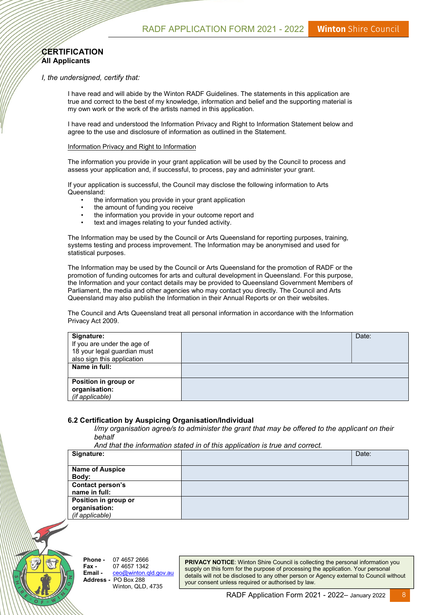### **CERTIFICATION** All Applicants

#### I, the undersigned, certify that:

I have read and will abide by the Winton RADF Guidelines. The statements in this application are true and correct to the best of my knowledge, information and belief and the supporting material is my own work or the work of the artists named in this application.

I have read and understood the Information Privacy and Right to Information Statement below and agree to the use and disclosure of information as outlined in the Statement.

#### Information Privacy and Right to Information

The information you provide in your grant application will be used by the Council to process and assess your application and, if successful, to process, pay and administer your grant.

If your application is successful, the Council may disclose the following information to Arts Queensland:

- the information you provide in your grant application
- the amount of funding you receive
- the information you provide in your outcome report and
- text and images relating to your funded activity.

The Information may be used by the Council or Arts Queensland for reporting purposes, training, systems testing and process improvement. The Information may be anonymised and used for statistical purposes.

The Information may be used by the Council or Arts Queensland for the promotion of RADF or the promotion of funding outcomes for arts and cultural development in Queensland. For this purpose, the Information and your contact details may be provided to Queensland Government Members of Parliament, the media and other agencies who may contact you directly. The Council and Arts Queensland may also publish the Information in their Annual Reports or on their websites.

The Council and Arts Queensland treat all personal information in accordance with the Information Privacy Act 2009.

| Signature:<br>If you are under the age of<br>18 your legal guardian must<br>also sign this application | Date: |
|--------------------------------------------------------------------------------------------------------|-------|
| Name in full:                                                                                          |       |
| Position in group or<br>organisation:<br>(if applicable)                                               |       |

#### 6.2 Certification by Auspicing Organisation/Individual

I/my organisation agree/s to administer the grant that may be offered to the applicant on their behalf

And that the information stated in of this application is true and correct.

| Signature:                                               | Date: |
|----------------------------------------------------------|-------|
| <b>Name of Auspice</b><br>Body:                          |       |
| <b>Contact person's</b><br>name in full:                 |       |
| Position in group or<br>organisation:<br>(if applicable) |       |



Phone - 07 4657 2666 Fax - 07 4657 1342 ceo@winton.gld.gov.au Address - PO Box 288 Winton, QLD, 4735